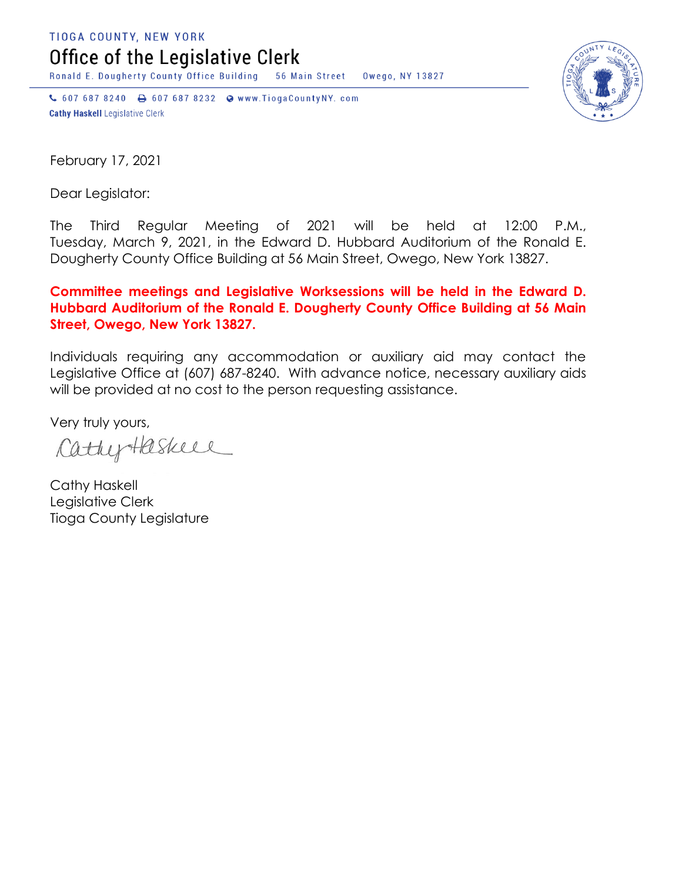TIOGA COUNTY, NEW YORK

Office of the Legislative Clerk

Ronald E. Dougherty County Office Building 56 Main Street Owego, NY 13827

↓ 607 687 8240 → 607 687 8232 → www.TiogaCountyNY.com **Cathy Haskell Legislative Clerk** 



February 17, 2021

Dear Legislator:

The Third Regular Meeting of 2021 will be held at 12:00 P.M., Tuesday, March 9, 2021, in the Edward D. Hubbard Auditorium of the Ronald E. Dougherty County Office Building at 56 Main Street, Owego, New York 13827.

## **Committee meetings and Legislative Worksessions will be held in the Edward D. Hubbard Auditorium of the Ronald E. Dougherty County Office Building at 56 Main Street, Owego, New York 13827.**

Individuals requiring any accommodation or auxiliary aid may contact the Legislative Office at (607) 687-8240. With advance notice, necessary auxiliary aids will be provided at no cost to the person requesting assistance.

Very truly yours,

CathyHaskell

Cathy Haskell Legislative Clerk Tioga County Legislature